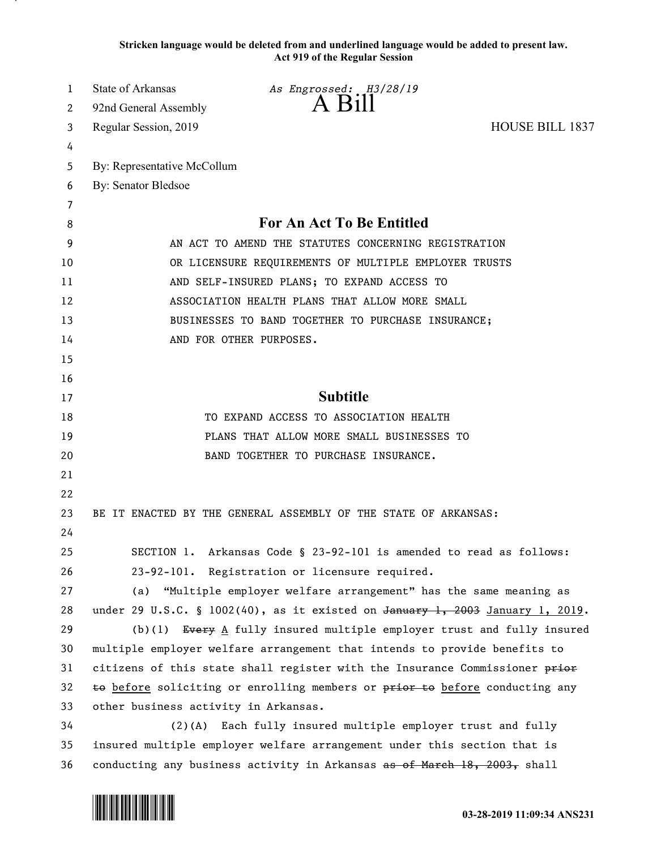**Stricken language would be deleted from and underlined language would be added to present law. Act 919 of the Regular Session**

| 1  | State of Arkansas                                                           | As Engrossed: H3/28/19                                                               |                        |
|----|-----------------------------------------------------------------------------|--------------------------------------------------------------------------------------|------------------------|
| 2  | 92nd General Assembly                                                       | $A$ B <sub>1</sub> $\parallel$                                                       |                        |
| 3  | Regular Session, 2019                                                       |                                                                                      | <b>HOUSE BILL 1837</b> |
| 4  |                                                                             |                                                                                      |                        |
| 5  | By: Representative McCollum                                                 |                                                                                      |                        |
| 6  | By: Senator Bledsoe                                                         |                                                                                      |                        |
| 7  |                                                                             |                                                                                      |                        |
| 8  |                                                                             | <b>For An Act To Be Entitled</b>                                                     |                        |
| 9  | AN ACT TO AMEND THE STATUTES CONCERNING REGISTRATION                        |                                                                                      |                        |
| 10 | OR LICENSURE REQUIREMENTS OF MULTIPLE EMPLOYER TRUSTS                       |                                                                                      |                        |
| 11 | AND SELF-INSURED PLANS; TO EXPAND ACCESS TO                                 |                                                                                      |                        |
| 12 | ASSOCIATION HEALTH PLANS THAT ALLOW MORE SMALL                              |                                                                                      |                        |
| 13 | BUSINESSES TO BAND TOGETHER TO PURCHASE INSURANCE;                          |                                                                                      |                        |
| 14 |                                                                             | AND FOR OTHER PURPOSES.                                                              |                        |
| 15 |                                                                             |                                                                                      |                        |
| 16 |                                                                             |                                                                                      |                        |
| 17 |                                                                             | <b>Subtitle</b>                                                                      |                        |
| 18 |                                                                             | TO EXPAND ACCESS TO ASSOCIATION HEALTH                                               |                        |
| 19 |                                                                             | PLANS THAT ALLOW MORE SMALL BUSINESSES TO                                            |                        |
| 20 |                                                                             | BAND TOGETHER TO PURCHASE INSURANCE.                                                 |                        |
| 21 |                                                                             |                                                                                      |                        |
| 22 |                                                                             |                                                                                      |                        |
| 23 |                                                                             | BE IT ENACTED BY THE GENERAL ASSEMBLY OF THE STATE OF ARKANSAS:                      |                        |
| 24 |                                                                             |                                                                                      |                        |
| 25 |                                                                             | SECTION 1. Arkansas Code § 23-92-101 is amended to read as follows:                  |                        |
| 26 |                                                                             | 23-92-101. Registration or licensure required.                                       |                        |
| 27 | (a)                                                                         | "Multiple employer welfare arrangement" has the same meaning as                      |                        |
| 28 |                                                                             | under 29 U.S.C. § 1002(40), as it existed on $\frac{1}{4}$ 3003 January 1, 2019.     |                        |
| 29 |                                                                             | (b)(1) Every $\underline{A}$ fully insured multiple employer trust and fully insured |                        |
| 30 |                                                                             | multiple employer welfare arrangement that intends to provide benefits to            |                        |
| 31 |                                                                             | citizens of this state shall register with the Insurance Commissioner prior          |                        |
| 32 | to before soliciting or enrolling members or prior to before conducting any |                                                                                      |                        |
| 33 | other business activity in Arkansas.                                        |                                                                                      |                        |
| 34 |                                                                             | (2)(A) Each fully insured multiple employer trust and fully                          |                        |
| 35 | insured multiple employer welfare arrangement under this section that is    |                                                                                      |                        |
| 36 | conducting any business activity in Arkansas as of March 18, 2003, shall    |                                                                                      |                        |

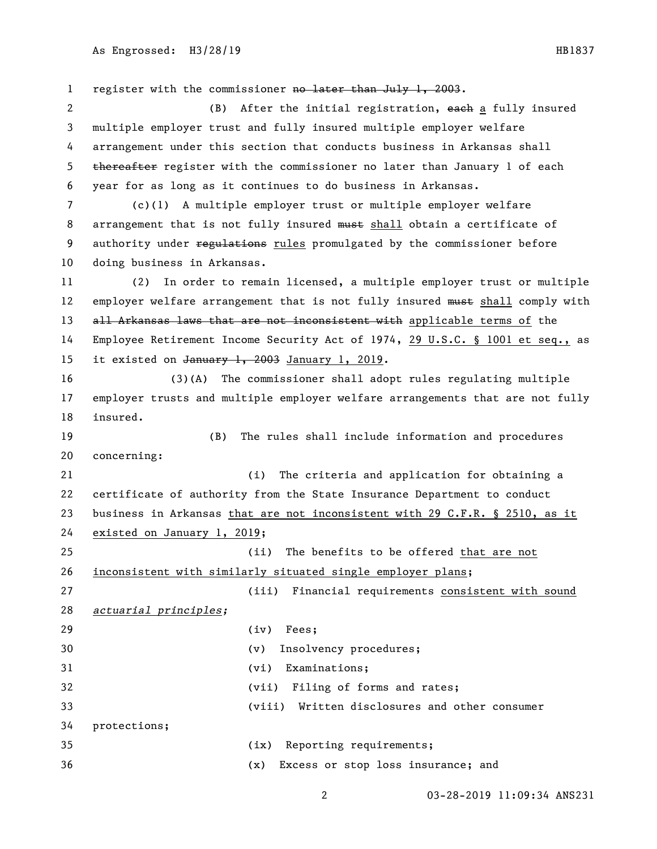1 register with the commissioner no later than July 1, 2003. 2 (B) After the initial registration, each a fully insured multiple employer trust and fully insured multiple employer welfare arrangement under this section that conducts business in Arkansas shall 5 thereafter register with the commissioner no later than January 1 of each year for as long as it continues to do business in Arkansas. (c)(1) A multiple employer trust or multiple employer welfare 8 arrangement that is not fully insured must shall obtain a certificate of 9 authority under regulations rules promulgated by the commissioner before doing business in Arkansas. (2) In order to remain licensed, a multiple employer trust or multiple 12 employer welfare arrangement that is not fully insured must shall comply with 13 all Arkansas laws that are not inconsistent with applicable terms of the Employee Retirement Income Security Act of 1974, 29 U.S.C. § 1001 et seq., as 15 it existed on January 1, 2003 January 1, 2019. (3)(A) The commissioner shall adopt rules regulating multiple employer trusts and multiple employer welfare arrangements that are not fully insured. (B) The rules shall include information and procedures concerning: (i) The criteria and application for obtaining a certificate of authority from the State Insurance Department to conduct business in Arkansas that are not inconsistent with 29 C.F.R. § 2510, as it existed on January 1, 2019; (ii) The benefits to be offered that are not inconsistent with similarly situated single employer plans; (iii) Financial requirements consistent with sound *actuarial principles;* (iv) Fees; (v) Insolvency procedures; (vi) Examinations; (vii) Filing of forms and rates; (viii) Written disclosures and other consumer protections; (ix) Reporting requirements; (x) Excess or stop loss insurance; and

03-28-2019 11:09:34 ANS231